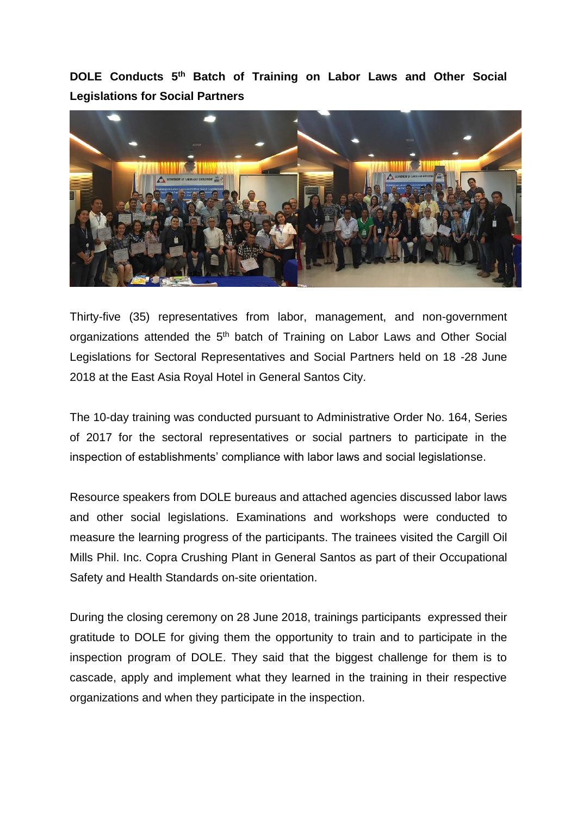**DOLE Conducts 5 th Batch of Training on Labor Laws and Other Social Legislations for Social Partners**



Thirty-five (35) representatives from labor, management, and non-government organizations attended the 5<sup>th</sup> batch of Training on Labor Laws and Other Social Legislations for Sectoral Representatives and Social Partners held on 18 -28 June 2018 at the East Asia Royal Hotel in General Santos City.

The 10-day training was conducted pursuant to Administrative Order No. 164, Series of 2017 for the sectoral representatives or social partners to participate in the inspection of establishments' compliance with labor laws and social legislationse.

Resource speakers from DOLE bureaus and attached agencies discussed labor laws and other social legislations. Examinations and workshops were conducted to measure the learning progress of the participants. The trainees visited the Cargill Oil Mills Phil. Inc. Copra Crushing Plant in General Santos as part of their Occupational Safety and Health Standards on-site orientation.

During the closing ceremony on 28 June 2018, trainings participants expressed their gratitude to DOLE for giving them the opportunity to train and to participate in the inspection program of DOLE. They said that the biggest challenge for them is to cascade, apply and implement what they learned in the training in their respective organizations and when they participate in the inspection.